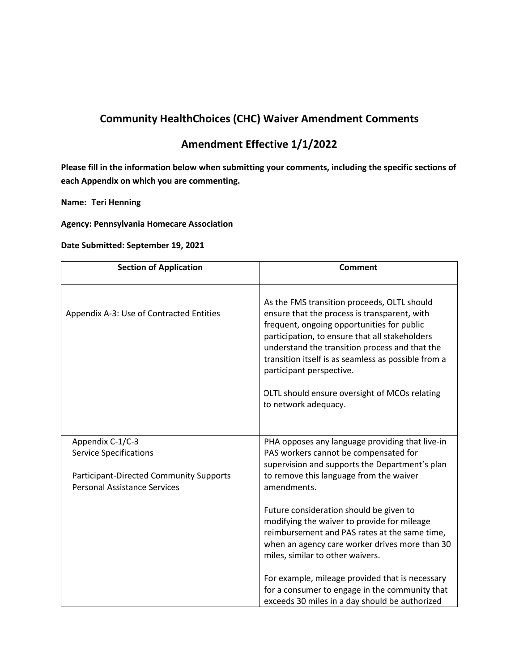## **Community HealthChoices (CHC) Waiver Amendment Comments**

## **Amendment Effective 1/1/2022**

**Please fill in the information below when submitting your comments, including the specific sections of each Appendix on which you are commenting.** 

**Name: Teri Henning**

**Agency: Pennsylvania Homecare Association**

**Date Submitted: September 19, 2021**

| <b>Section of Application</b>                                                                                                              | <b>Comment</b>                                                                                                                                                                                                                                                                                                                                                                                            |
|--------------------------------------------------------------------------------------------------------------------------------------------|-----------------------------------------------------------------------------------------------------------------------------------------------------------------------------------------------------------------------------------------------------------------------------------------------------------------------------------------------------------------------------------------------------------|
| Appendix A-3: Use of Contracted Entities                                                                                                   | As the FMS transition proceeds, OLTL should<br>ensure that the process is transparent, with<br>frequent, ongoing opportunities for public<br>participation, to ensure that all stakeholders<br>understand the transition process and that the<br>transition itself is as seamless as possible from a<br>participant perspective.<br>OLTL should ensure oversight of MCOs relating<br>to network adequacy. |
| Appendix C-1/C-3<br><b>Service Specifications</b><br><b>Participant-Directed Community Supports</b><br><b>Personal Assistance Services</b> | PHA opposes any language providing that live-in<br>PAS workers cannot be compensated for<br>supervision and supports the Department's plan<br>to remove this language from the waiver<br>amendments.                                                                                                                                                                                                      |
|                                                                                                                                            | Future consideration should be given to<br>modifying the waiver to provide for mileage<br>reimbursement and PAS rates at the same time,<br>when an agency care worker drives more than 30<br>miles, similar to other waivers.                                                                                                                                                                             |
|                                                                                                                                            | For example, mileage provided that is necessary<br>for a consumer to engage in the community that<br>exceeds 30 miles in a day should be authorized                                                                                                                                                                                                                                                       |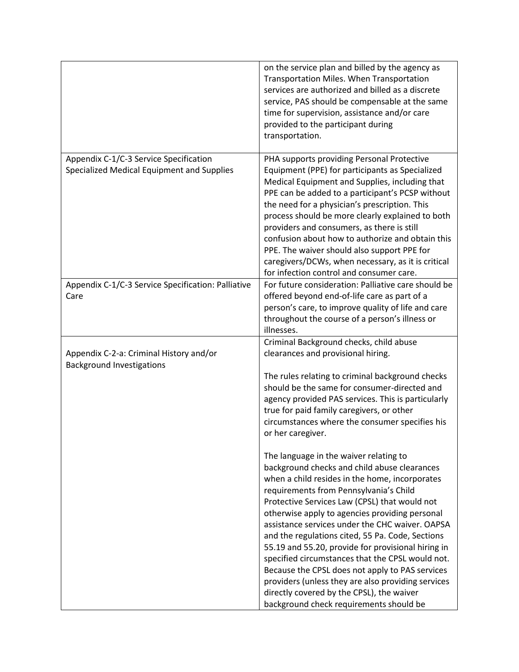|                                                                                      | on the service plan and billed by the agency as<br>Transportation Miles. When Transportation<br>services are authorized and billed as a discrete<br>service, PAS should be compensable at the same<br>time for supervision, assistance and/or care<br>provided to the participant during<br>transportation.                                                                                                                                                                                                                                                                                                                                                                                                                                                                                                                                                                                                                                                                                                                                                            |
|--------------------------------------------------------------------------------------|------------------------------------------------------------------------------------------------------------------------------------------------------------------------------------------------------------------------------------------------------------------------------------------------------------------------------------------------------------------------------------------------------------------------------------------------------------------------------------------------------------------------------------------------------------------------------------------------------------------------------------------------------------------------------------------------------------------------------------------------------------------------------------------------------------------------------------------------------------------------------------------------------------------------------------------------------------------------------------------------------------------------------------------------------------------------|
| Appendix C-1/C-3 Service Specification<br>Specialized Medical Equipment and Supplies | PHA supports providing Personal Protective<br>Equipment (PPE) for participants as Specialized<br>Medical Equipment and Supplies, including that<br>PPE can be added to a participant's PCSP without<br>the need for a physician's prescription. This<br>process should be more clearly explained to both<br>providers and consumers, as there is still<br>confusion about how to authorize and obtain this<br>PPE. The waiver should also support PPE for<br>caregivers/DCWs, when necessary, as it is critical<br>for infection control and consumer care.                                                                                                                                                                                                                                                                                                                                                                                                                                                                                                            |
| Appendix C-1/C-3 Service Specification: Palliative<br>Care                           | For future consideration: Palliative care should be<br>offered beyond end-of-life care as part of a<br>person's care, to improve quality of life and care<br>throughout the course of a person's illness or<br>illnesses.                                                                                                                                                                                                                                                                                                                                                                                                                                                                                                                                                                                                                                                                                                                                                                                                                                              |
| Appendix C-2-a: Criminal History and/or<br><b>Background Investigations</b>          | Criminal Background checks, child abuse<br>clearances and provisional hiring.<br>The rules relating to criminal background checks<br>should be the same for consumer-directed and<br>agency provided PAS services. This is particularly<br>true for paid family caregivers, or other<br>circumstances where the consumer specifies his<br>or her caregiver.<br>The language in the waiver relating to<br>background checks and child abuse clearances<br>when a child resides in the home, incorporates<br>requirements from Pennsylvania's Child<br>Protective Services Law (CPSL) that would not<br>otherwise apply to agencies providing personal<br>assistance services under the CHC waiver. OAPSA<br>and the regulations cited, 55 Pa. Code, Sections<br>55.19 and 55.20, provide for provisional hiring in<br>specified circumstances that the CPSL would not.<br>Because the CPSL does not apply to PAS services<br>providers (unless they are also providing services<br>directly covered by the CPSL), the waiver<br>background check requirements should be |